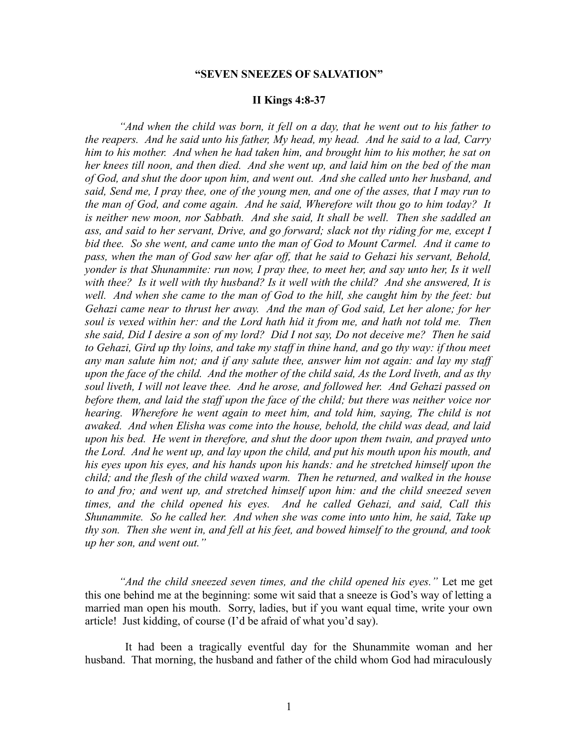# **"SEVEN SNEEZES OF SALVATION"**

#### **II Kings 4:8-37**

*"And when the child was born, it fell on a day, that he went out to his father to the reapers. And he said unto his father, My head, my head. And he said to a lad, Carry him to his mother. And when he had taken him, and brought him to his mother, he sat on her knees till noon, and then died. And she went up, and laid him on the bed of the man of God, and shut the door upon him, and went out. And she called unto her husband, and said, Send me, I pray thee, one of the young men, and one of the asses, that I may run to the man of God, and come again. And he said, Wherefore wilt thou go to him today? It is neither new moon, nor Sabbath. And she said, It shall be well. Then she saddled an ass, and said to her servant, Drive, and go forward; slack not thy riding for me, except I bid thee. So she went, and came unto the man of God to Mount Carmel. And it came to pass, when the man of God saw her afar off, that he said to Gehazi his servant, Behold, yonder is that Shunammite: run now, I pray thee, to meet her, and say unto her, Is it well with thee? Is it well with thy husband? Is it well with the child? And she answered, It is well. And when she came to the man of God to the hill, she caught him by the feet: but Gehazi came near to thrust her away. And the man of God said, Let her alone; for her soul is vexed within her: and the Lord hath hid it from me, and hath not told me. Then she said, Did I desire a son of my lord? Did I not say, Do not deceive me? Then he said to Gehazi, Gird up thy loins, and take my staff in thine hand, and go thy way: if thou meet any man salute him not; and if any salute thee, answer him not again: and lay my staff upon the face of the child. And the mother of the child said, As the Lord liveth, and as thy soul liveth, I will not leave thee. And he arose, and followed her. And Gehazi passed on before them, and laid the staff upon the face of the child; but there was neither voice nor hearing. Wherefore he went again to meet him, and told him, saying, The child is not awaked. And when Elisha was come into the house, behold, the child was dead, and laid upon his bed. He went in therefore, and shut the door upon them twain, and prayed unto the Lord. And he went up, and lay upon the child, and put his mouth upon his mouth, and his eyes upon his eyes, and his hands upon his hands: and he stretched himself upon the child; and the flesh of the child waxed warm. Then he returned, and walked in the house to and fro; and went up, and stretched himself upon him: and the child sneezed seven times, and the child opened his eyes. And he called Gehazi, and said, Call this Shunammite. So he called her. And when she was come into unto him, he said, Take up thy son. Then she went in, and fell at his feet, and bowed himself to the ground, and took up her son, and went out."* 

*"And the child sneezed seven times, and the child opened his eyes."* Let me get this one behind me at the beginning: some wit said that a sneeze is God's way of letting a married man open his mouth. Sorry, ladies, but if you want equal time, write your own article! Just kidding, of course (I'd be afraid of what you'd say).

It had been a tragically eventful day for the Shunammite woman and her husband. That morning, the husband and father of the child whom God had miraculously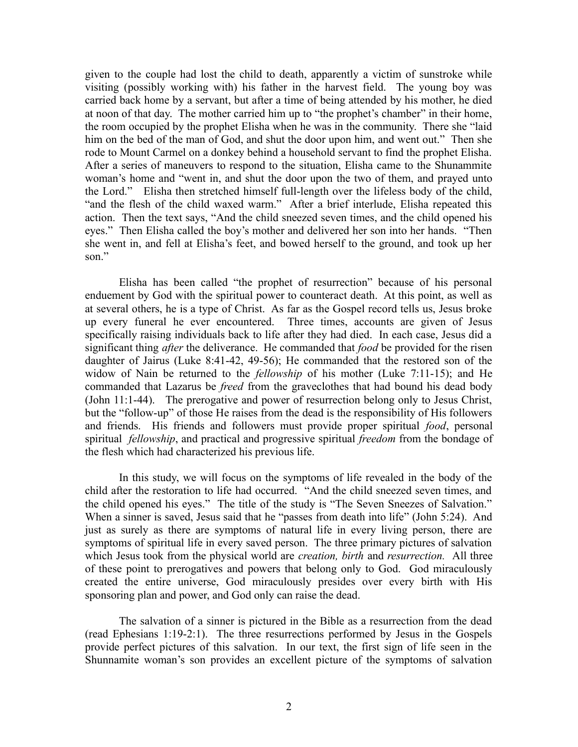given to the couple had lost the child to death, apparently a victim of sunstroke while visiting (possibly working with) his father in the harvest field. The young boy was carried back home by a servant, but after a time of being attended by his mother, he died at noon of that day. The mother carried him up to "the prophet's chamber" in their home, the room occupied by the prophet Elisha when he was in the community. There she "laid him on the bed of the man of God, and shut the door upon him, and went out." Then she rode to Mount Carmel on a donkey behind a household servant to find the prophet Elisha. After a series of maneuvers to respond to the situation, Elisha came to the Shunammite woman's home and "went in, and shut the door upon the two of them, and prayed unto the Lord." Elisha then stretched himself full-length over the lifeless body of the child, "and the flesh of the child waxed warm." After a brief interlude, Elisha repeated this action. Then the text says, "And the child sneezed seven times, and the child opened his eyes." Then Elisha called the boy's mother and delivered her son into her hands. "Then she went in, and fell at Elisha's feet, and bowed herself to the ground, and took up her son<sup>"</sup>

Elisha has been called "the prophet of resurrection" because of his personal enduement by God with the spiritual power to counteract death. At this point, as well as at several others, he is a type of Christ. As far as the Gospel record tells us, Jesus broke up every funeral he ever encountered. Three times, accounts are given of Jesus specifically raising individuals back to life after they had died. In each case, Jesus did a significant thing *after* the deliverance. He commanded that *food* be provided for the risen daughter of Jairus (Luke 8:41-42, 49-56); He commanded that the restored son of the widow of Nain be returned to the *fellowship* of his mother (Luke 7:11-15); and He commanded that Lazarus be *freed* from the graveclothes that had bound his dead body (John 11:1-44). The prerogative and power of resurrection belong only to Jesus Christ, but the "follow-up" of those He raises from the dead is the responsibility of His followers and friends. His friends and followers must provide proper spiritual *food*, personal spiritual *fellowship*, and practical and progressive spiritual *freedom* from the bondage of the flesh which had characterized his previous life.

In this study, we will focus on the symptoms of life revealed in the body of the child after the restoration to life had occurred. "And the child sneezed seven times, and the child opened his eyes." The title of the study is "The Seven Sneezes of Salvation." When a sinner is saved, Jesus said that he "passes from death into life" (John 5:24). And just as surely as there are symptoms of natural life in every living person, there are symptoms of spiritual life in every saved person. The three primary pictures of salvation which Jesus took from the physical world are *creation, birth* and *resurrection.* All three of these point to prerogatives and powers that belong only to God. God miraculously created the entire universe, God miraculously presides over every birth with His sponsoring plan and power, and God only can raise the dead.

The salvation of a sinner is pictured in the Bible as a resurrection from the dead (read Ephesians 1:19-2:1). The three resurrections performed by Jesus in the Gospels provide perfect pictures of this salvation. In our text, the first sign of life seen in the Shunnamite woman's son provides an excellent picture of the symptoms of salvation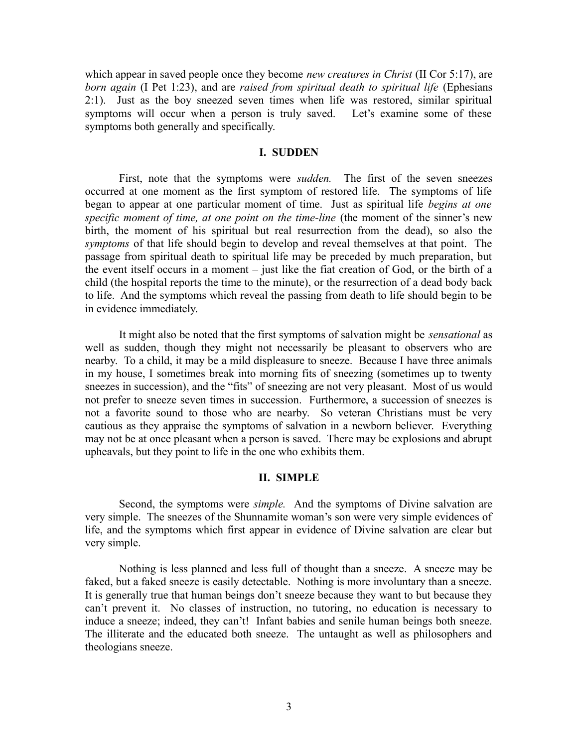which appear in saved people once they become *new creatures in Christ* (II Cor 5:17), are *born again* (I Pet 1:23), and are *raised from spiritual death to spiritual life* (Ephesians 2:1). Just as the boy sneezed seven times when life was restored, similar spiritual symptoms will occur when a person is truly saved. Let's examine some of these symptoms both generally and specifically.

## **I. SUDDEN**

First, note that the symptoms were *sudden.* The first of the seven sneezes occurred at one moment as the first symptom of restored life. The symptoms of life began to appear at one particular moment of time. Just as spiritual life *begins at one specific moment of time, at one point on the time-line* (the moment of the sinner's new birth, the moment of his spiritual but real resurrection from the dead), so also the *symptoms* of that life should begin to develop and reveal themselves at that point. The passage from spiritual death to spiritual life may be preceded by much preparation, but the event itself occurs in a moment – just like the fiat creation of God, or the birth of a child (the hospital reports the time to the minute), or the resurrection of a dead body back to life. And the symptoms which reveal the passing from death to life should begin to be in evidence immediately.

It might also be noted that the first symptoms of salvation might be *sensational* as well as sudden, though they might not necessarily be pleasant to observers who are nearby. To a child, it may be a mild displeasure to sneeze. Because I have three animals in my house, I sometimes break into morning fits of sneezing (sometimes up to twenty sneezes in succession), and the "fits" of sneezing are not very pleasant. Most of us would not prefer to sneeze seven times in succession. Furthermore, a succession of sneezes is not a favorite sound to those who are nearby. So veteran Christians must be very cautious as they appraise the symptoms of salvation in a newborn believer. Everything may not be at once pleasant when a person is saved. There may be explosions and abrupt upheavals, but they point to life in the one who exhibits them.

#### **II. SIMPLE**

Second, the symptoms were *simple.* And the symptoms of Divine salvation are very simple. The sneezes of the Shunnamite woman's son were very simple evidences of life, and the symptoms which first appear in evidence of Divine salvation are clear but very simple.

Nothing is less planned and less full of thought than a sneeze. A sneeze may be faked, but a faked sneeze is easily detectable. Nothing is more involuntary than a sneeze. It is generally true that human beings don't sneeze because they want to but because they can't prevent it. No classes of instruction, no tutoring, no education is necessary to induce a sneeze; indeed, they can't! Infant babies and senile human beings both sneeze. The illiterate and the educated both sneeze. The untaught as well as philosophers and theologians sneeze.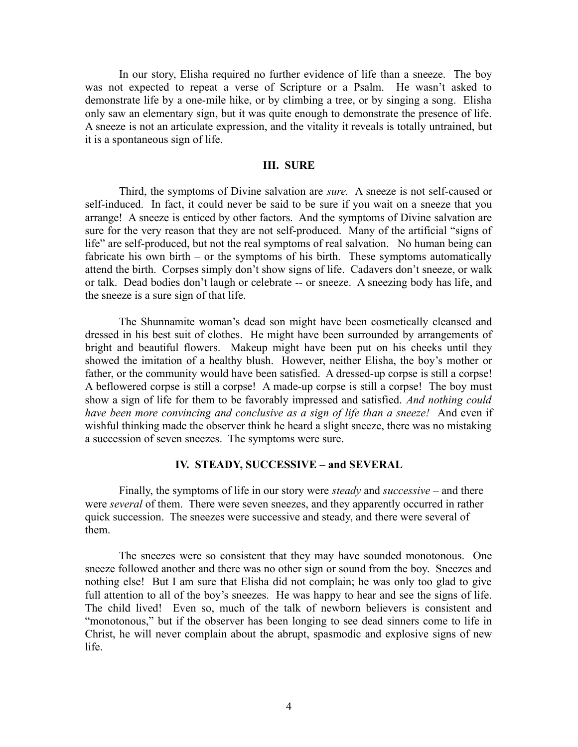In our story, Elisha required no further evidence of life than a sneeze. The boy was not expected to repeat a verse of Scripture or a Psalm. He wasn't asked to demonstrate life by a one-mile hike, or by climbing a tree, or by singing a song. Elisha only saw an elementary sign, but it was quite enough to demonstrate the presence of life. A sneeze is not an articulate expression, and the vitality it reveals is totally untrained, but it is a spontaneous sign of life.

# **III. SURE**

Third, the symptoms of Divine salvation are *sure.* A sneeze is not self-caused or self-induced. In fact, it could never be said to be sure if you wait on a sneeze that you arrange! A sneeze is enticed by other factors. And the symptoms of Divine salvation are sure for the very reason that they are not self-produced. Many of the artificial "signs of life" are self-produced, but not the real symptoms of real salvation. No human being can fabricate his own birth – or the symptoms of his birth. These symptoms automatically attend the birth. Corpses simply don't show signs of life. Cadavers don't sneeze, or walk or talk. Dead bodies don't laugh or celebrate -- or sneeze. A sneezing body has life, and the sneeze is a sure sign of that life.

The Shunnamite woman's dead son might have been cosmetically cleansed and dressed in his best suit of clothes. He might have been surrounded by arrangements of bright and beautiful flowers. Makeup might have been put on his cheeks until they showed the imitation of a healthy blush. However, neither Elisha, the boy's mother or father, or the community would have been satisfied. A dressed-up corpse is still a corpse! A beflowered corpse is still a corpse! A made-up corpse is still a corpse! The boy must show a sign of life for them to be favorably impressed and satisfied. *And nothing could have been more convincing and conclusive as a sign of life than a sneeze!* And even if wishful thinking made the observer think he heard a slight sneeze, there was no mistaking a succession of seven sneezes. The symptoms were sure.

## **IV. STEADY, SUCCESSIVE – and SEVERAL**

Finally, the symptoms of life in our story were *steady* and *successive –* and there were *several* of them. There were seven sneezes, and they apparently occurred in rather quick succession. The sneezes were successive and steady, and there were several of them.

The sneezes were so consistent that they may have sounded monotonous. One sneeze followed another and there was no other sign or sound from the boy. Sneezes and nothing else! But I am sure that Elisha did not complain; he was only too glad to give full attention to all of the boy's sneezes. He was happy to hear and see the signs of life. The child lived! Even so, much of the talk of newborn believers is consistent and "monotonous," but if the observer has been longing to see dead sinners come to life in Christ, he will never complain about the abrupt, spasmodic and explosive signs of new life.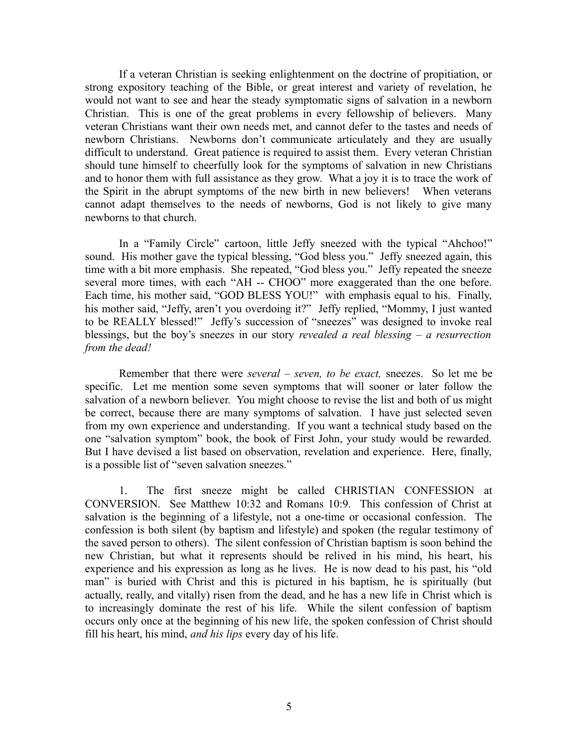If a veteran Christian is seeking enlightenment on the doctrine of propitiation, or strong expository teaching of the Bible, or great interest and variety of revelation, he would not want to see and hear the steady symptomatic signs of salvation in a newborn Christian. This is one of the great problems in every fellowship of believers. Many veteran Christians want their own needs met, and cannot defer to the tastes and needs of newborn Christians. Newborns don't communicate articulately and they are usually difficult to understand. Great patience is required to assist them. Every veteran Christian should tune himself to cheerfully look for the symptoms of salvation in new Christians and to honor them with full assistance as they grow. What a joy it is to trace the work of the Spirit in the abrupt symptoms of the new birth in new believers! When veterans cannot adapt themselves to the needs of newborns, God is not likely to give many newborns to that church.

In a "Family Circle" cartoon, little Jeffy sneezed with the typical "Ahchoo!" sound. His mother gave the typical blessing, "God bless you." Jeffy sneezed again, this time with a bit more emphasis. She repeated, "God bless you." Jeffy repeated the sneeze several more times, with each "AH -- CHOO" more exaggerated than the one before. Each time, his mother said, "GOD BLESS YOU!" with emphasis equal to his. Finally, his mother said, "Jeffy, aren't you overdoing it?" Jeffy replied, "Mommy, I just wanted to be REALLY blessed!" Jeffy's succession of "sneezes" was designed to invoke real blessings, but the boy's sneezes in our story *revealed a real blessing – a resurrection from the dead!* 

Remember that there were *several – seven, to be exact,* sneezes. So let me be specific. Let me mention some seven symptoms that will sooner or later follow the salvation of a newborn believer. You might choose to revise the list and both of us might be correct, because there are many symptoms of salvation. I have just selected seven from my own experience and understanding. If you want a technical study based on the one "salvation symptom" book, the book of First John, your study would be rewarded. But I have devised a list based on observation, revelation and experience. Here, finally, is a possible list of "seven salvation sneezes."

1. The first sneeze might be called CHRISTIAN CONFESSION at CONVERSION. See Matthew 10:32 and Romans 10:9. This confession of Christ at salvation is the beginning of a lifestyle, not a one-time or occasional confession. The confession is both silent (by baptism and lifestyle) and spoken (the regular testimony of the saved person to others). The silent confession of Christian baptism is soon behind the new Christian, but what it represents should be relived in his mind, his heart, his experience and his expression as long as he lives. He is now dead to his past, his "old man" is buried with Christ and this is pictured in his baptism, he is spiritually (but actually, really, and vitally) risen from the dead, and he has a new life in Christ which is to increasingly dominate the rest of his life. While the silent confession of baptism occurs only once at the beginning of his new life, the spoken confession of Christ should fill his heart, his mind, *and his lips* every day of his life.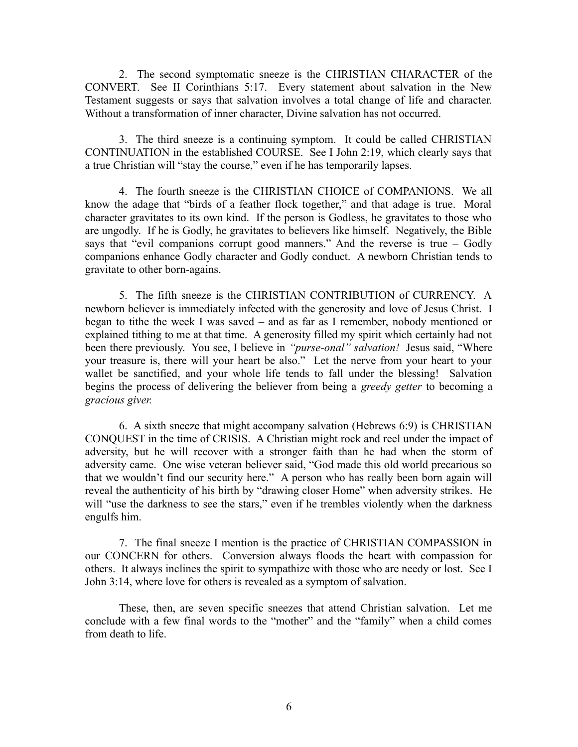2. The second symptomatic sneeze is the CHRISTIAN CHARACTER of the CONVERT. See II Corinthians 5:17. Every statement about salvation in the New Testament suggests or says that salvation involves a total change of life and character. Without a transformation of inner character, Divine salvation has not occurred.

3. The third sneeze is a continuing symptom. It could be called CHRISTIAN CONTINUATION in the established COURSE. See I John 2:19, which clearly says that a true Christian will "stay the course," even if he has temporarily lapses.

4. The fourth sneeze is the CHRISTIAN CHOICE of COMPANIONS. We all know the adage that "birds of a feather flock together," and that adage is true. Moral character gravitates to its own kind. If the person is Godless, he gravitates to those who are ungodly. If he is Godly, he gravitates to believers like himself. Negatively, the Bible says that "evil companions corrupt good manners." And the reverse is true – Godly companions enhance Godly character and Godly conduct. A newborn Christian tends to gravitate to other born-agains.

5. The fifth sneeze is the CHRISTIAN CONTRIBUTION of CURRENCY. A newborn believer is immediately infected with the generosity and love of Jesus Christ. I began to tithe the week I was saved – and as far as I remember, nobody mentioned or explained tithing to me at that time. A generosity filled my spirit which certainly had not been there previously. You see, I believe in *"purse-onal" salvation!* Jesus said, "Where your treasure is, there will your heart be also." Let the nerve from your heart to your wallet be sanctified, and your whole life tends to fall under the blessing! Salvation begins the process of delivering the believer from being a *greedy getter* to becoming a *gracious giver.* 

6. A sixth sneeze that might accompany salvation (Hebrews 6:9) is CHRISTIAN CONQUEST in the time of CRISIS. A Christian might rock and reel under the impact of adversity, but he will recover with a stronger faith than he had when the storm of adversity came. One wise veteran believer said, "God made this old world precarious so that we wouldn't find our security here." A person who has really been born again will reveal the authenticity of his birth by "drawing closer Home" when adversity strikes. He will "use the darkness to see the stars," even if he trembles violently when the darkness engulfs him.

7. The final sneeze I mention is the practice of CHRISTIAN COMPASSION in our CONCERN for others. Conversion always floods the heart with compassion for others. It always inclines the spirit to sympathize with those who are needy or lost. See I John 3:14, where love for others is revealed as a symptom of salvation.

These, then, are seven specific sneezes that attend Christian salvation. Let me conclude with a few final words to the "mother" and the "family" when a child comes from death to life.